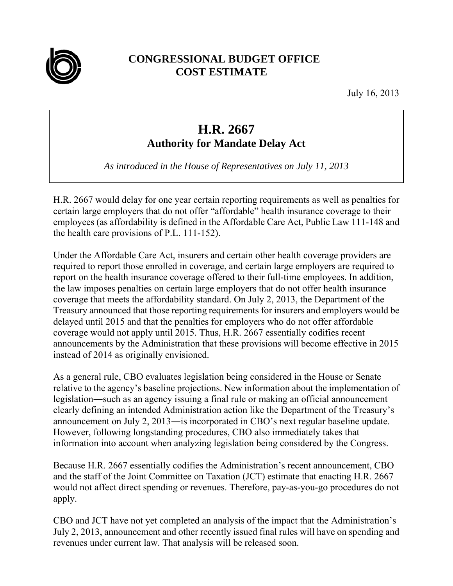

## **CONGRESSIONAL BUDGET OFFICE COST ESTIMATE**

July 16, 2013

## **H.R. 2667**

**Authority for Mandate Delay Act** 

*As introduced in the House of Representatives on July 11, 2013* 

H.R. 2667 would delay for one year certain reporting requirements as well as penalties for certain large employers that do not offer "affordable" health insurance coverage to their employees (as affordability is defined in the Affordable Care Act, Public Law 111-148 and the health care provisions of P.L. 111-152).

Under the Affordable Care Act, insurers and certain other health coverage providers are required to report those enrolled in coverage, and certain large employers are required to report on the health insurance coverage offered to their full-time employees. In addition, the law imposes penalties on certain large employers that do not offer health insurance coverage that meets the affordability standard. On July 2, 2013, the Department of the Treasury announced that those reporting requirements for insurers and employers would be delayed until 2015 and that the penalties for employers who do not offer affordable coverage would not apply until 2015. Thus, H.R. 2667 essentially codifies recent announcements by the Administration that these provisions will become effective in 2015 instead of 2014 as originally envisioned.

As a general rule, CBO evaluates legislation being considered in the House or Senate relative to the agency's baseline projections. New information about the implementation of legislation―such as an agency issuing a final rule or making an official announcement clearly defining an intended Administration action like the Department of the Treasury's announcement on July 2, 2013―is incorporated in CBO's next regular baseline update. However, following longstanding procedures, CBO also immediately takes that information into account when analyzing legislation being considered by the Congress.

Because H.R. 2667 essentially codifies the Administration's recent announcement, CBO and the staff of the Joint Committee on Taxation (JCT) estimate that enacting H.R. 2667 would not affect direct spending or revenues. Therefore, pay-as-you-go procedures do not apply.

CBO and JCT have not yet completed an analysis of the impact that the Administration's July 2, 2013, announcement and other recently issued final rules will have on spending and revenues under current law. That analysis will be released soon.